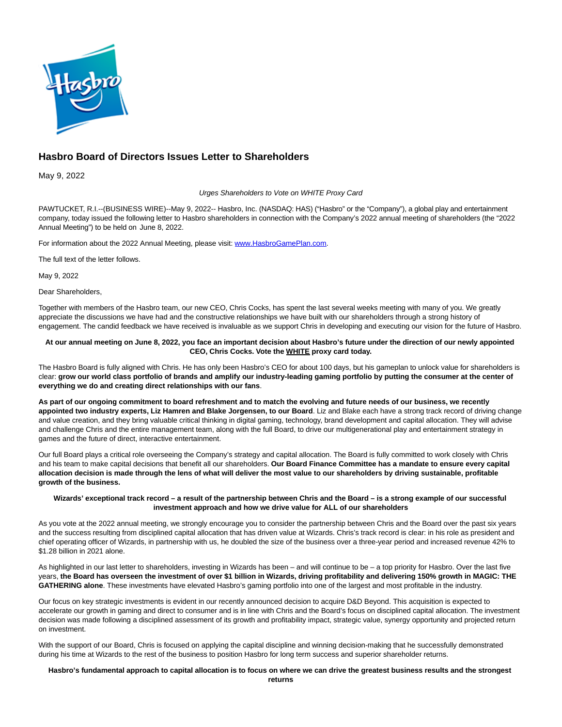

# **Hasbro Board of Directors Issues Letter to Shareholders**

May 9, 2022

## Urges Shareholders to Vote on WHITE Proxy Card

PAWTUCKET, R.I.--(BUSINESS WIRE)--May 9, 2022-- Hasbro, Inc. (NASDAQ: HAS) ("Hasbro" or the "Company"), a global play and entertainment company, today issued the following letter to Hasbro shareholders in connection with the Company's 2022 annual meeting of shareholders (the "2022 Annual Meeting") to be held on June 8, 2022.

For information about the 2022 Annual Meeting, please visit: [www.HasbroGamePlan.com.](https://cts.businesswire.com/ct/CT?id=smartlink&url=http%3A%2F%2Fwww.HasbroGamePlan.com&esheet=52712300&newsitemid=20220508005077&lan=en-US&anchor=www.HasbroGamePlan.com&index=1&md5=15f45fa28a03280591996a9d0787ff61)

The full text of the letter follows.

May 9, 2022

Dear Shareholders,

Together with members of the Hasbro team, our new CEO, Chris Cocks, has spent the last several weeks meeting with many of you. We greatly appreciate the discussions we have had and the constructive relationships we have built with our shareholders through a strong history of engagement. The candid feedback we have received is invaluable as we support Chris in developing and executing our vision for the future of Hasbro.

## **At our annual meeting on June 8, 2022, you face an important decision about Hasbro's future under the direction of our newly appointed CEO, Chris Cocks. Vote the WHITE proxy card today.**

The Hasbro Board is fully aligned with Chris. He has only been Hasbro's CEO for about 100 days, but his gameplan to unlock value for shareholders is clear: **grow our world class portfolio of brands and amplify our industry-leading gaming portfolio by putting the consumer at the center of everything we do and creating direct relationships with our fans**.

**As part of our ongoing commitment to board refreshment and to match the evolving and future needs of our business, we recently appointed two industry experts, Liz Hamren and Blake Jorgensen, to our Board**. Liz and Blake each have a strong track record of driving change and value creation, and they bring valuable critical thinking in digital gaming, technology, brand development and capital allocation. They will advise and challenge Chris and the entire management team, along with the full Board, to drive our multigenerational play and entertainment strategy in games and the future of direct, interactive entertainment.

Our full Board plays a critical role overseeing the Company's strategy and capital allocation. The Board is fully committed to work closely with Chris and his team to make capital decisions that benefit all our shareholders. **Our Board Finance Committee has a mandate to ensure every capital allocation decision is made through the lens of what will deliver the most value to our shareholders by driving sustainable, profitable growth of the business.**

## **Wizards' exceptional track record – a result of the partnership between Chris and the Board – is a strong example of our successful investment approach and how we drive value for ALL of our shareholders**

As you vote at the 2022 annual meeting, we strongly encourage you to consider the partnership between Chris and the Board over the past six years and the success resulting from disciplined capital allocation that has driven value at Wizards. Chris's track record is clear: in his role as president and chief operating officer of Wizards, in partnership with us, he doubled the size of the business over a three-year period and increased revenue 42% to \$1.28 billion in 2021 alone.

As highlighted in our last letter to shareholders, investing in Wizards has been – and will continue to be – a top priority for Hasbro. Over the last five years, **the Board has overseen the investment of over \$1 billion in Wizards, driving profitability and delivering 150% growth in MAGIC: THE GATHERING alone**. These investments have elevated Hasbro's gaming portfolio into one of the largest and most profitable in the industry.

Our focus on key strategic investments is evident in our recently announced decision to acquire D&D Beyond. This acquisition is expected to accelerate our growth in gaming and direct to consumer and is in line with Chris and the Board's focus on disciplined capital allocation. The investment decision was made following a disciplined assessment of its growth and profitability impact, strategic value, synergy opportunity and projected return on investment.

With the support of our Board, Chris is focused on applying the capital discipline and winning decision-making that he successfully demonstrated during his time at Wizards to the rest of the business to position Hasbro for long term success and superior shareholder returns.

# **Hasbro's fundamental approach to capital allocation is to focus on where we can drive the greatest business results and the strongest**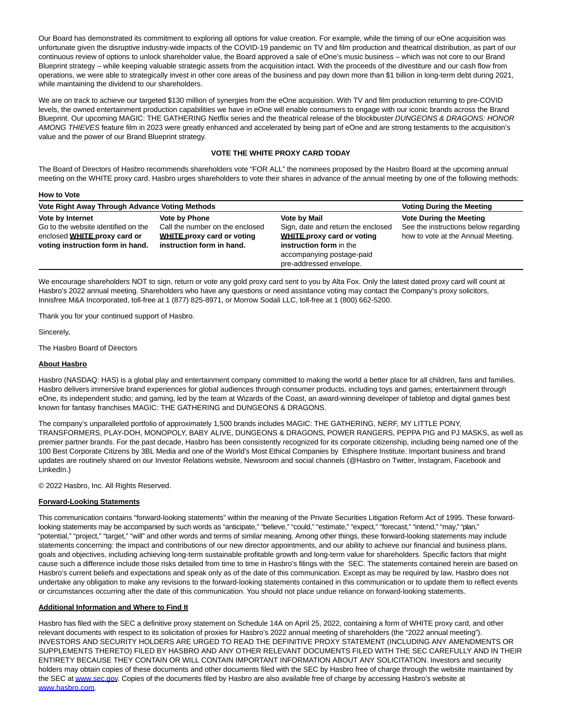Our Board has demonstrated its commitment to exploring all options for value creation. For example, while the timing of our eOne acquisition was unfortunate given the disruptive industry-wide impacts of the COVID-19 pandemic on TV and film production and theatrical distribution, as part of our continuous review of options to unlock shareholder value, the Board approved a sale of eOne's music business – which was not core to our Brand Blueprint strategy – while keeping valuable strategic assets from the acquisition intact. With the proceeds of the divestiture and our cash flow from operations, we were able to strategically invest in other core areas of the business and pay down more than \$1 billion in long-term debt during 2021, while maintaining the dividend to our shareholders.

We are on track to achieve our targeted \$130 million of synergies from the eOne acquisition. With TV and film production returning to pre-COVID levels, the owned entertainment production capabilities we have in eOne will enable consumers to engage with our iconic brands across the Brand Blueprint. Our upcoming MAGIC: THE GATHERING Netflix series and the theatrical release of the blockbuster DUNGEONS & DRAGONS: HONOR AMONG THIEVES feature film in 2023 were greatly enhanced and accelerated by being part of eOne and are strong testaments to the acquisition's value and the power of our Brand Blueprint strategy.

## **VOTE THE WHITE PROXY CARD TODAY**

The Board of Directors of Hasbro recommends shareholders vote "FOR ALL" the nominees proposed by the Hasbro Board at the upcoming annual meeting on the WHITE proxy card. Hasbro urges shareholders to vote their shares in advance of the annual meeting by one of the following methods:

#### **How to Vote**

| Vote Right Away Through Advance Voting Methods                                                                              |                                                                                                                    |                                                                                                                                                                                   | <b>Voting During the Meeting</b>                                                                             |
|-----------------------------------------------------------------------------------------------------------------------------|--------------------------------------------------------------------------------------------------------------------|-----------------------------------------------------------------------------------------------------------------------------------------------------------------------------------|--------------------------------------------------------------------------------------------------------------|
| Vote by Internet<br>Go to the website identified on the<br>enclosed WHITE proxy card or<br>voting instruction form in hand. | Vote by Phone<br>Call the number on the enclosed<br><b>WHITE proxy card or voting</b><br>instruction form in hand. | <b>Vote by Mail</b><br>Sign, date and return the enclosed<br><b>WHITE proxy card or voting</b><br>instruction form in the<br>accompanying postage-paid<br>pre-addressed envelope. | <b>Vote During the Meeting</b><br>See the instructions below regarding<br>how to vote at the Annual Meeting. |

We encourage shareholders NOT to sign, return or vote any gold proxy card sent to you by Alta Fox. Only the latest dated proxy card will count at Hasbro's 2022 annual meeting. Shareholders who have any questions or need assistance voting may contact the Company's proxy solicitors, Innisfree M&A Incorporated, toll-free at 1 (877) 825-8971, or Morrow Sodali LLC, toll-free at 1 (800) 662-5200.

Thank you for your continued support of Hasbro.

Sincerely,

The Hasbro Board of Directors

# **About Hasbro**

Hasbro (NASDAQ: HAS) is a global play and entertainment company committed to making the world a better place for all children, fans and families. Hasbro delivers immersive brand experiences for global audiences through consumer products, including toys and games; entertainment through eOne, its independent studio; and gaming, led by the team at Wizards of the Coast, an award-winning developer of tabletop and digital games best known for fantasy franchises MAGIC: THE GATHERING and DUNGEONS & DRAGONS.

The company's unparalleled portfolio of approximately 1,500 brands includes MAGIC: THE GATHERING, NERF, MY LITTLE PONY, TRANSFORMERS, PLAY-DOH, MONOPOLY, BABY ALIVE, DUNGEONS & DRAGONS, POWER RANGERS, PEPPA PIG and PJ MASKS, as well as premier partner brands. For the past decade, Hasbro has been consistently recognized for its corporate citizenship, including being named one of the 100 Best Corporate Citizens by 3BL Media and one of the World's Most Ethical Companies by Ethisphere Institute. Important business and brand updates are routinely shared on our Investor Relations website, Newsroom and social channels (@Hasbro on Twitter, Instagram, Facebook and LinkedIn.)

© 2022 Hasbro, Inc. All Rights Reserved.

## **Forward-Looking Statements**

This communication contains "forward-looking statements" within the meaning of the Private Securities Litigation Reform Act of 1995. These forwardlooking statements may be accompanied by such words as "anticipate," "believe," "could," "estimate," "expect," "forecast," "intend," "may," "plan," "potential," "project," "target," "will" and other words and terms of similar meaning. Among other things, these forward-looking statements may include statements concerning: the impact and contributions of our new director appointments, and our ability to achieve our financial and business plans, goals and objectives, including achieving long-term sustainable profitable growth and long-term value for shareholders. Specific factors that might cause such a difference include those risks detailed from time to time in Hasbro's filings with the SEC. The statements contained herein are based on Hasbro's current beliefs and expectations and speak only as of the date of this communication. Except as may be required by law, Hasbro does not undertake any obligation to make any revisions to the forward-looking statements contained in this communication or to update them to reflect events or circumstances occurring after the date of this communication. You should not place undue reliance on forward-looking statements.

## **Additional Information and Where to Find It**

Hasbro has filed with the SEC a definitive proxy statement on Schedule 14A on April 25, 2022, containing a form of WHITE proxy card, and other relevant documents with respect to its solicitation of proxies for Hasbro's 2022 annual meeting of shareholders (the "2022 annual meeting"). INVESTORS AND SECURITY HOLDERS ARE URGED TO READ THE DEFINITIVE PROXY STATEMENT (INCLUDING ANY AMENDMENTS OR SUPPLEMENTS THERETO) FILED BY HASBRO AND ANY OTHER RELEVANT DOCUMENTS FILED WITH THE SEC CAREFULLY AND IN THEIR ENTIRETY BECAUSE THEY CONTAIN OR WILL CONTAIN IMPORTANT INFORMATION ABOUT ANY SOLICITATION. Investors and security holders may obtain copies of these documents and other documents filed with the SEC by Hasbro free of charge through the website maintained by the SEC a[t www.sec.gov.](https://cts.businesswire.com/ct/CT?id=smartlink&url=http%3A%2F%2Fwww.sec.gov&esheet=52712300&newsitemid=20220508005077&lan=en-US&anchor=www.sec.gov&index=2&md5=17410bda3090cafdca80874d8d0fadd6) Copies of the documents filed by Hasbro are also available free of charge by accessing Hasbro's website at [www.hasbro.com.](https://cts.businesswire.com/ct/CT?id=smartlink&url=http%3A%2F%2Fwww.hasbro.com&esheet=52712300&newsitemid=20220508005077&lan=en-US&anchor=www.hasbro.com&index=3&md5=6fa6f462070a072b7ba8fb82297acec0)